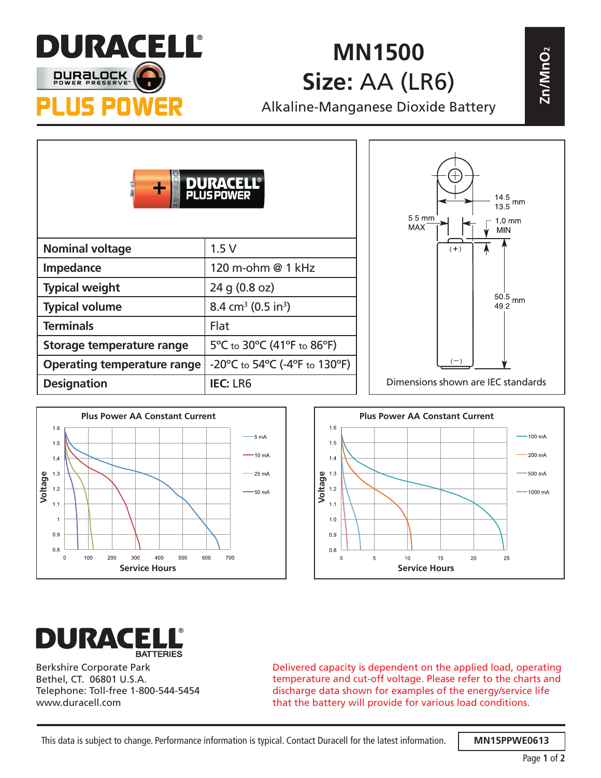

## **MN1500 Size:** AA (LR6)

| AU INAN-LILIL<br>MN1500     |                                                                          | 2n/MnO <sub>2</sub> |                                                                                  |
|-----------------------------|--------------------------------------------------------------------------|---------------------|----------------------------------------------------------------------------------|
| <b>DURBLOCK</b>             | Size: AA (LR6)                                                           |                     |                                                                                  |
| S POWER                     | Alkaline-Manganese Dioxide Battery                                       |                     |                                                                                  |
|                             | <b>JS POWER</b>                                                          |                     | $\frac{14.5}{13.5}$ mm<br>5.5 mm<br>$1.0 \text{ mm}$<br><b>MAX</b><br><b>MIN</b> |
| <b>Nominal voltage</b>      | 1.5V                                                                     |                     | $(+)$                                                                            |
| Impedance                   | 120 m-ohm @ 1 kHz                                                        |                     |                                                                                  |
| <b>Typical weight</b>       | 24 g (0.8 oz)                                                            |                     |                                                                                  |
| <b>Typical volume</b>       | 8.4 cm <sup>3</sup> (0.5 in <sup>3</sup> )                               |                     | $50.5\,$ mm<br>49.2                                                              |
| <b>Terminals</b>            | Flat                                                                     |                     |                                                                                  |
| Storage temperature range   | 5°C to 30°C (41°F to 86°F)                                               |                     |                                                                                  |
| Operating temperature range | $-20^{\circ}$ C to 54 $^{\circ}$ C (-4 $^{\circ}$ F to 130 $^{\circ}$ F) |                     |                                                                                  |
| <b>Designation</b>          | <b>IEC: LR6</b>                                                          |                     | Dimensions shown are IEC standards                                               |







Berkshire Corporate Park Bethel, CT. 06801 U.S.A. Telephone: Toll-free 1-800-544-5454 www.duracell.com

Delivered capacity is dependent on the applied load, operating temperature and cut-off voltage. Please refer to the charts and discharge data shown for examples of the energy/service life that the battery will provide for various load conditions.